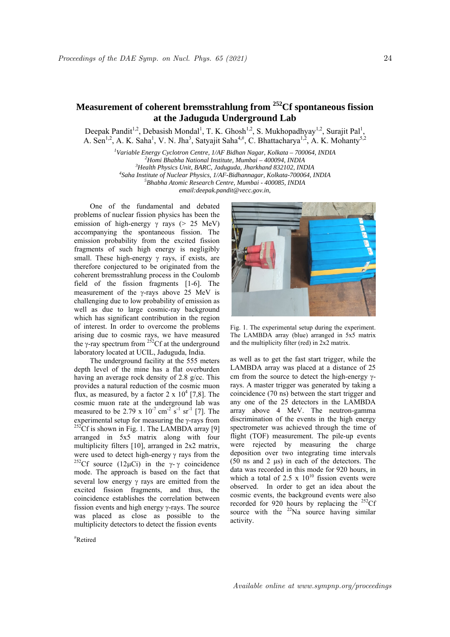## **Measurement of coherent bremsstrahlung from 252Cf spontaneous fission at the Jaduguda Underground Lab**

Deepak Pandit<sup>1,2</sup>, Debasish Mondal<sup>1</sup>, T. K. Ghosh<sup>1,2</sup>, S. Mukhopadhyay<sup>1,2</sup>, Surajit Pal<sup>1</sup>, A. Sen<sup>1,2</sup>, A. K. Saha<sup>1</sup>, V. N. Jha<sup>3</sup>, Satyajit Saha<sup>4,#</sup>, C. Bhattacharya<sup>1,2</sup>, A. K. Mohanty<sup>5,2</sup>

> <sup>1</sup>Variable Energy Cyclotron Centre, 1/AF Bidhan Nagar, Kolkata – 700064, INDIA<br><sup>2</sup>Hami Bhabba National Institute Mumbai – 400004, INDIA <sup>2</sup>Homi Bhabha National Institute, Mumbai – 400094, INDIA <sup>3</sup> Health Physics Unit, BARC, Jaduguda, Jharkhand 832102, INDIA <sup>4</sup> Saha Institute of Nuclear Physics, 1/AF-Bidhannagar, Kolkata-700064, INDIA *Bhabha Atomic Research Centre, Mumbai - 400085, INDIA email:deepak.pandit@vecc.gov.in,*

One of the fundamental and debated problems of nuclear fission physics has been the emission of high-energy  $\gamma$  rays (> 25 MeV) accompanying the spontaneous fission. The emission probability from the excited fission fragments of such high energy is negligibly small. These high-energy  $\gamma$  rays, if exists, are therefore conjectured to be originated from the coherent bremsstrahlung process in the Coulomb field of the fission fragments [1-6]. The measurement of the  $\gamma$ -rays above 25 MeV is challenging due to low probability of emission as well as due to large cosmic-ray background which has significant contribution in the region of interest. In order to overcome the problems arising due to cosmic rays, we have measured the  $\gamma$ -ray spectrum from <sup>252</sup>Cf at the underground laboratory located at UCIL, Jaduguda, India.

The underground facility at the 555 meters depth level of the mine has a flat overburden having an average rock density of 2.8 g/cc. This provides a natural reduction of the cosmic muon flux, as measured, by a factor  $2 \times 10^4$  [7,8]. The cosmic muon rate at the underground lab was measured to be  $2.79 \times 10^{-7}$  cm<sup>-2</sup> s<sup>-1</sup> sr<sup>-1</sup> [7]. The experimental setup for measuring the  $\gamma$ -rays from <sup>252</sup>Cf is shown in Fig. 1. The LAMBDA array [9] arranged in 5x5 matrix along with four multiplicity filters [10], arranged in 2x2 matrix, were used to detect high-energy  $\gamma$  rays from the <sup>252</sup>Cf source (12µCi) in the  $\gamma$ - $\gamma$  coincidence mode. The approach is based on the fact that several low energy  $\gamma$  rays are emitted from the excited fission fragments, and thus, the coincidence establishes the correlation between fission events and high energy  $\gamma$ -rays. The source was placed as close as possible to the multiplicity detectors to detect the fission events

# Retired



Fig. 1. The experimental setup during the experiment. The LAMBDA array (blue) arranged in 5x5 matrix and the multiplicity filter (red) in 2x2 matrix.

as well as to get the fast start trigger, while the LAMBDA array was placed at a distance of 25 cm from the source to detect the high-energy  $\gamma$ rays. A master trigger was generated by taking a coincidence (70 ns) between the start trigger and any one of the 25 detectors in the LAMBDA array above 4 MeV. The neutron-gamma discrimination of the events in the high energy spectrometer was achieved through the time of flight (TOF) measurement. The pile-up events were rejected by measuring the charge deposition over two integrating time intervals (50 ns and 2 μs) in each of the detectors. The data was recorded in this mode for 920 hours, in which a total of 2.5 x  $10^{10}$  fission events were observed. In order to get an idea about the cosmic events, the background events were also recorded for 920 hours by replacing the  $^{252}$ Cf source with the  $22$ Na source having similar activity.